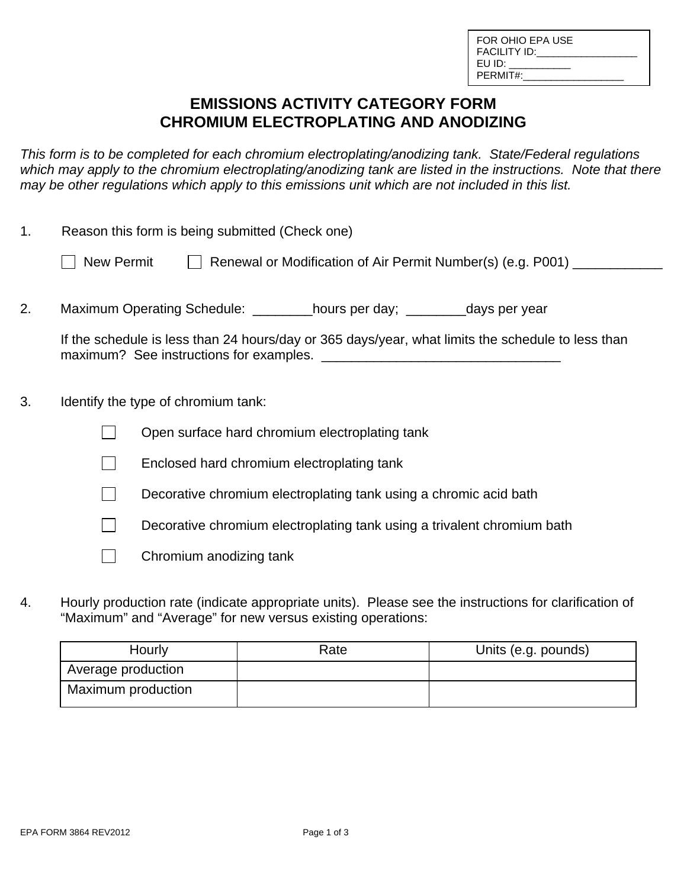| FOR OHIO FPA USE |
|------------------|
| FACILITY ID:     |
| EU ID:           |
| PERMIT#:         |
|                  |

## **EMISSIONS ACTIVITY CATEGORY FORM CHROMIUM ELECTROPLATING AND ANODIZING**

*This form is to be completed for each chromium electroplating/anodizing tank. State/Federal regulations*  which may apply to the chromium electroplating/anodizing tank are listed in the instructions. Note that there *may be other regulations which apply to this emissions unit which are not included in this list.* 

| 1. | Reason this form is being submitted (Check one) |                                                                                                   |  |
|----|-------------------------------------------------|---------------------------------------------------------------------------------------------------|--|
|    | New Permit                                      | Renewal or Modification of Air Permit Number(s) (e.g. P001) ___________                           |  |
| 2. |                                                 | Maximum Operating Schedule: __________hours per day; __________days per year                      |  |
|    |                                                 | If the schedule is less than 24 hours/day or 365 days/year, what limits the schedule to less than |  |
| 3. | Identify the type of chromium tank:             |                                                                                                   |  |
|    |                                                 | Open surface hard chromium electroplating tank                                                    |  |
|    |                                                 | Enclosed hard chromium electroplating tank                                                        |  |
|    |                                                 | Decorative chromium electroplating tank using a chromic acid bath                                 |  |
|    |                                                 | Decorative chromium electroplating tank using a trivalent chromium bath                           |  |

- $\Box$  Chromium anodizing tank
- 4. Hourly production rate (indicate appropriate units). Please see the instructions for clarification of "Maximum" and "Average" for new versus existing operations:

| Hourly             | Rate | Units (e.g. pounds) |
|--------------------|------|---------------------|
| Average production |      |                     |
| Maximum production |      |                     |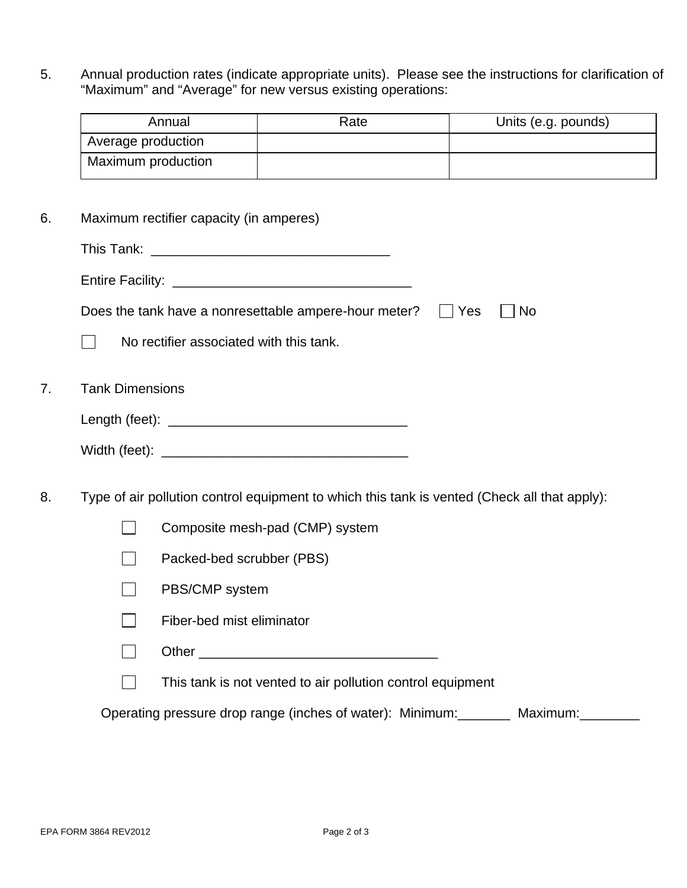5. Annual production rates (indicate appropriate units). Please see the instructions for clarification of "Maximum" and "Average" for new versus existing operations:

| Annual             | Rate | Units (e.g. pounds) |
|--------------------|------|---------------------|
| Average production |      |                     |
| Maximum production |      |                     |

6. Maximum rectifier capacity (in amperes)

|    | Does the tank have a nonresettable ampere-hour meter?<br>  Yes<br><b>No</b>                  |  |  |  |
|----|----------------------------------------------------------------------------------------------|--|--|--|
|    | No rectifier associated with this tank.                                                      |  |  |  |
| 7. | <b>Tank Dimensions</b>                                                                       |  |  |  |
|    |                                                                                              |  |  |  |
|    |                                                                                              |  |  |  |
| 8. | Type of air pollution control equipment to which this tank is vented (Check all that apply): |  |  |  |
|    | Composite mesh-pad (CMP) system                                                              |  |  |  |
|    | Packed-bed scrubber (PBS)                                                                    |  |  |  |
|    | PBS/CMP system                                                                               |  |  |  |

- $\Box$  Fiber-bed mist eliminator
- Other \_\_\_\_\_\_\_\_\_\_\_\_\_\_\_\_\_\_\_\_\_\_\_\_\_\_\_\_\_\_\_\_

 $\Box$  This tank is not vented to air pollution control equipment

Operating pressure drop range (inches of water): Minimum:\_\_\_\_\_\_\_\_ Maximum:\_\_\_\_\_\_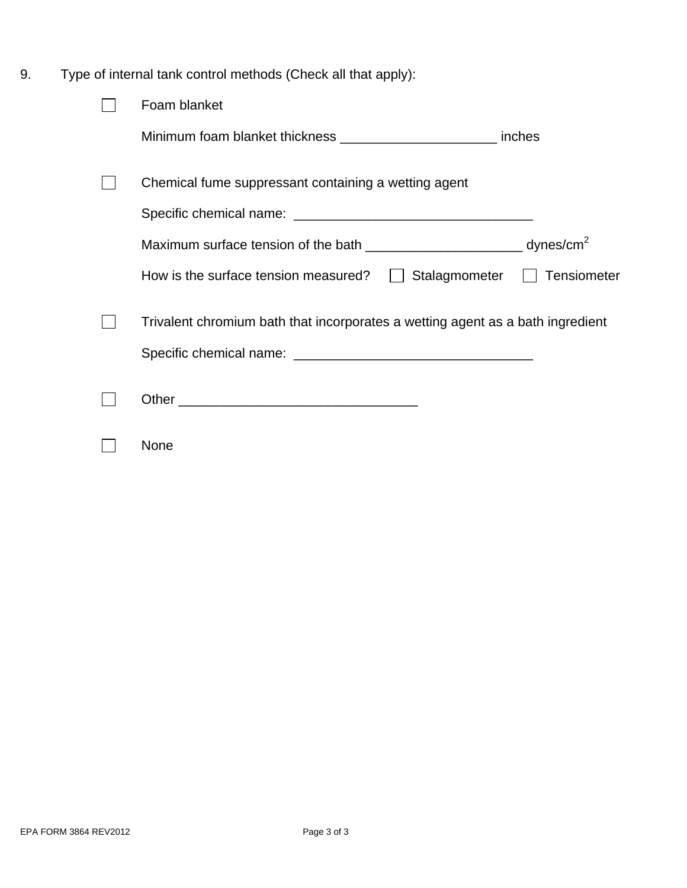9. Type of internal tank control methods (Check all that apply):

| Foam blanket                                                                   |             |
|--------------------------------------------------------------------------------|-------------|
| Minimum foam blanket thickness ______________________________ inches           |             |
| Chemical fume suppressant containing a wetting agent                           |             |
|                                                                                |             |
|                                                                                |             |
| Stalagmometer  <br>How is the surface tension measured? $  \cdot  $            | Tensiometer |
| Trivalent chromium bath that incorporates a wetting agent as a bath ingredient |             |
|                                                                                |             |
|                                                                                |             |
| None                                                                           |             |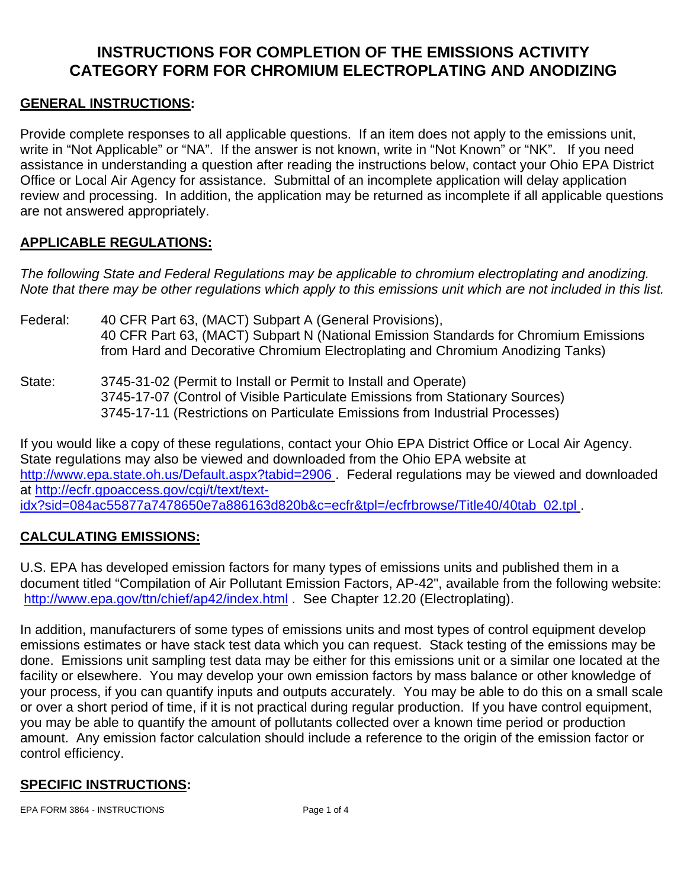# **INSTRUCTIONS FOR COMPLETION OF THE EMISSIONS ACTIVITY CATEGORY FORM FOR CHROMIUM ELECTROPLATING AND ANODIZING**

#### **GENERAL INSTRUCTIONS:**

Provide complete responses to all applicable questions. If an item does not apply to the emissions unit, write in "Not Applicable" or "NA". If the answer is not known, write in "Not Known" or "NK". If you need assistance in understanding a question after reading the instructions below, contact your Ohio EPA District Office or Local Air Agency for assistance. Submittal of an incomplete application will delay application review and processing. In addition, the application may be returned as incomplete if all applicable questions are not answered appropriately.

### **APPLICABLE REGULATIONS:**

*The following State and Federal Regulations may be applicable to chromium electroplating and anodizing. Note that there may be other regulations which apply to this emissions unit which are not included in this list.* 

- Federal: 40 CFR Part 63, (MACT) Subpart A (General Provisions), 40 CFR Part 63, (MACT) Subpart N (National Emission Standards for Chromium Emissions from Hard and Decorative Chromium Electroplating and Chromium Anodizing Tanks)
- State: 3745-31-02 (Permit to Install or Permit to Install and Operate) 3745-17-07 (Control of Visible Particulate Emissions from Stationary Sources) 3745-17-11 (Restrictions on Particulate Emissions from Industrial Processes)

If you would like a copy of these regulations, contact your Ohio EPA District Office or Local Air Agency. State regulations may also be viewed and downloaded from the Ohio EPA website at http://www.epa.state.oh.us/Default.aspx?tabid=2906 . Federal regulations may be viewed and downloaded at http://ecfr.gpoaccess.gov/cgi/t/text/textidx?sid=084ac55877a7478650e7a886163d820b&c=ecfr&tpl=/ecfrbrowse/Title40/40tab\_02.tpl .

### **CALCULATING EMISSIONS:**

U.S. EPA has developed emission factors for many types of emissions units and published them in a document titled "Compilation of Air Pollutant Emission Factors, AP-42", available from the following website: http://www.epa.gov/ttn/chief/ap42/index.html . See Chapter 12.20 (Electroplating).

In addition, manufacturers of some types of emissions units and most types of control equipment develop emissions estimates or have stack test data which you can request. Stack testing of the emissions may be done. Emissions unit sampling test data may be either for this emissions unit or a similar one located at the facility or elsewhere. You may develop your own emission factors by mass balance or other knowledge of your process, if you can quantify inputs and outputs accurately. You may be able to do this on a small scale or over a short period of time, if it is not practical during regular production. If you have control equipment, you may be able to quantify the amount of pollutants collected over a known time period or production amount. Any emission factor calculation should include a reference to the origin of the emission factor or control efficiency.

### **SPECIFIC INSTRUCTIONS:**

EPA FORM 3864 - INSTRUCTIONS Page 1 of 4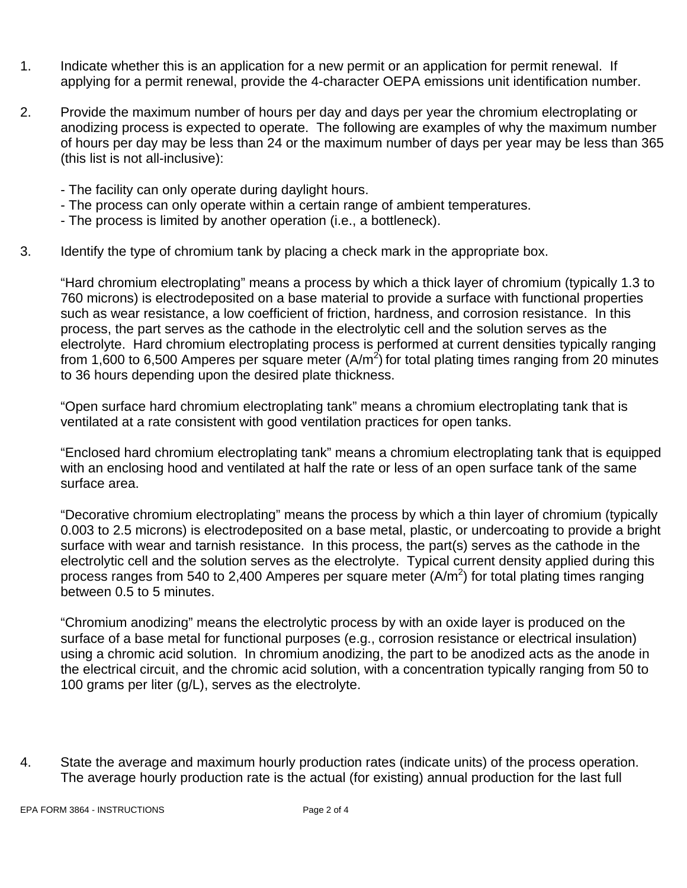- 1. Indicate whether this is an application for a new permit or an application for permit renewal. If applying for a permit renewal, provide the 4-character OEPA emissions unit identification number.
- 2. Provide the maximum number of hours per day and days per year the chromium electroplating or anodizing process is expected to operate. The following are examples of why the maximum number of hours per day may be less than 24 or the maximum number of days per year may be less than 365 (this list is not all-inclusive):
	- The facility can only operate during daylight hours.
	- The process can only operate within a certain range of ambient temperatures.
	- The process is limited by another operation (i.e., a bottleneck).
- 3. Identify the type of chromium tank by placing a check mark in the appropriate box.

"Hard chromium electroplating" means a process by which a thick layer of chromium (typically 1.3 to 760 microns) is electrodeposited on a base material to provide a surface with functional properties such as wear resistance, a low coefficient of friction, hardness, and corrosion resistance. In this process, the part serves as the cathode in the electrolytic cell and the solution serves as the electrolyte. Hard chromium electroplating process is performed at current densities typically ranging from 1,600 to 6,500 Amperes per square meter  $(A/m^2)$  for total plating times ranging from 20 minutes to 36 hours depending upon the desired plate thickness.

"Open surface hard chromium electroplating tank" means a chromium electroplating tank that is ventilated at a rate consistent with good ventilation practices for open tanks.

"Enclosed hard chromium electroplating tank" means a chromium electroplating tank that is equipped with an enclosing hood and ventilated at half the rate or less of an open surface tank of the same surface area.

"Decorative chromium electroplating" means the process by which a thin layer of chromium (typically 0.003 to 2.5 microns) is electrodeposited on a base metal, plastic, or undercoating to provide a bright surface with wear and tarnish resistance. In this process, the part(s) serves as the cathode in the electrolytic cell and the solution serves as the electrolyte. Typical current density applied during this process ranges from 540 to 2,400 Amperes per square meter  $(A/m^2)$  for total plating times ranging between 0.5 to 5 minutes.

"Chromium anodizing" means the electrolytic process by with an oxide layer is produced on the surface of a base metal for functional purposes (e.g., corrosion resistance or electrical insulation) using a chromic acid solution. In chromium anodizing, the part to be anodized acts as the anode in the electrical circuit, and the chromic acid solution, with a concentration typically ranging from 50 to 100 grams per liter (g/L), serves as the electrolyte.

4. State the average and maximum hourly production rates (indicate units) of the process operation. The average hourly production rate is the actual (for existing) annual production for the last full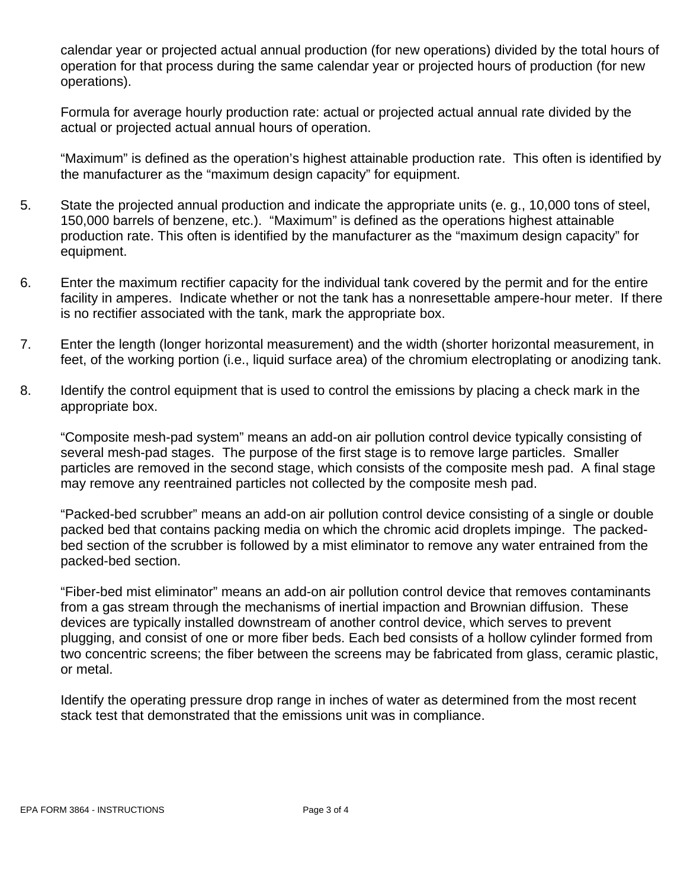calendar year or projected actual annual production (for new operations) divided by the total hours of operation for that process during the same calendar year or projected hours of production (for new operations).

Formula for average hourly production rate: actual or projected actual annual rate divided by the actual or projected actual annual hours of operation.

"Maximum" is defined as the operation's highest attainable production rate. This often is identified by the manufacturer as the "maximum design capacity" for equipment.

- 5. State the projected annual production and indicate the appropriate units (e. g., 10,000 tons of steel, 150,000 barrels of benzene, etc.). "Maximum" is defined as the operations highest attainable production rate. This often is identified by the manufacturer as the "maximum design capacity" for equipment.
- 6. Enter the maximum rectifier capacity for the individual tank covered by the permit and for the entire facility in amperes. Indicate whether or not the tank has a nonresettable ampere-hour meter. If there is no rectifier associated with the tank, mark the appropriate box.
- 7. Enter the length (longer horizontal measurement) and the width (shorter horizontal measurement, in feet, of the working portion (i.e., liquid surface area) of the chromium electroplating or anodizing tank.
- 8. Identify the control equipment that is used to control the emissions by placing a check mark in the appropriate box.

"Composite mesh-pad system" means an add-on air pollution control device typically consisting of several mesh-pad stages. The purpose of the first stage is to remove large particles. Smaller particles are removed in the second stage, which consists of the composite mesh pad. A final stage may remove any reentrained particles not collected by the composite mesh pad.

"Packed-bed scrubber" means an add-on air pollution control device consisting of a single or double packed bed that contains packing media on which the chromic acid droplets impinge. The packedbed section of the scrubber is followed by a mist eliminator to remove any water entrained from the packed-bed section.

"Fiber-bed mist eliminator" means an add-on air pollution control device that removes contaminants from a gas stream through the mechanisms of inertial impaction and Brownian diffusion. These devices are typically installed downstream of another control device, which serves to prevent plugging, and consist of one or more fiber beds. Each bed consists of a hollow cylinder formed from two concentric screens; the fiber between the screens may be fabricated from glass, ceramic plastic, or metal.

Identify the operating pressure drop range in inches of water as determined from the most recent stack test that demonstrated that the emissions unit was in compliance.